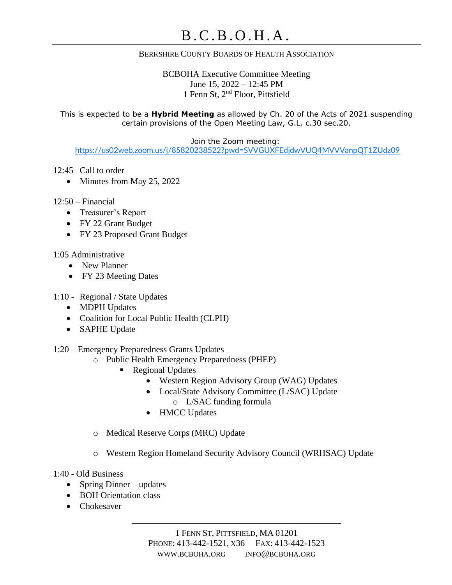## BERKSHIRE COUNTY BOARDS OF HEALTH ASSOCIATION

BCBOHA Executive Committee Meeting June 15, 2022 – 12:45 PM 1 Fenn St, 2nd Floor, Pittsfield

This is expected to be a **Hybrid Meeting** as allowed by Ch. 20 of the Acts of 2021 suspending certain provisions of the Open Meeting Law, G.L. c.30 sec.20.

Join the Zoom meeting:

<https://us02web.zoom.us/j/85820238522?pwd=SVVGUXFEdjdwVUQ4MVVVanpQT1ZUdz09>

### 12:45 Call to order

• Minutes from May 25, 2022

### $12:50$  – Financial

- Treasurer's Report
- FY 22 Grant Budget
- FY 23 Proposed Grant Budget

### 1:05 Administrative

- New Planner
- FY 23 Meeting Dates
- 1:10 Regional / State Updates
	- MDPH Updates
	- Coalition for Local Public Health (CLPH)
	- SAPHE Update

## 1:20 – Emergency Preparedness Grants Updates

- o Public Health Emergency Preparedness (PHEP)
	- Regional Updates
		- Western Region Advisory Group (WAG) Updates
		- Local/State Advisory Committee (L/SAC) Update o L/SAC funding formula
		- HMCC Updates
- o Medical Reserve Corps (MRC) Update
- o Western Region Homeland Security Advisory Council (WRHSAC) Update

#### 1:40 - Old Business

- Spring Dinner updates
- BOH Orientation class
- Chokesaver